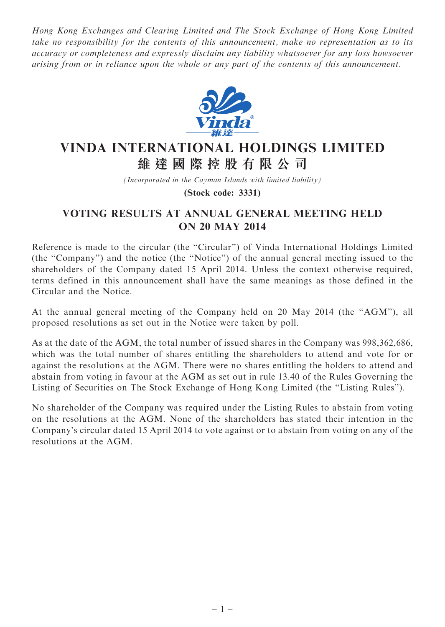Hong Kong Exchanges and Clearing Limited and The Stock Exchange of Hong Kong Limited take no responsibility for the contents of this announcement, make no representation as to its accuracy or completeness and expressly disclaim any liability whatsoever for any loss howsoever arising from or in reliance upon the whole or any part of the contents of this announcement.



## VINDA INTERNATIONAL HOLDINGS LIMITED 維 達 國 際 控 股 有 限 公 司

(Incorporated in the Cayman Islands with limited liability)

(Stock code: 3331)

## VOTING RESULTS AT ANNUAL GENERAL MEETING HELD ON 20 MAY 2014

Reference is made to the circular (the "Circular") of Vinda International Holdings Limited (the ''Company'') and the notice (the ''Notice'') of the annual general meeting issued to the shareholders of the Company dated 15 April 2014. Unless the context otherwise required, terms defined in this announcement shall have the same meanings as those defined in the Circular and the Notice.

At the annual general meeting of the Company held on 20 May 2014 (the ''AGM''), all proposed resolutions as set out in the Notice were taken by poll.

As at the date of the AGM, the total number of issued shares in the Company was 998,362,686, which was the total number of shares entitling the shareholders to attend and vote for or against the resolutions at the AGM. There were no shares entitling the holders to attend and abstain from voting in favour at the AGM as set out in rule 13.40 of the Rules Governing the Listing of Securities on The Stock Exchange of Hong Kong Limited (the ''Listing Rules'').

No shareholder of the Company was required under the Listing Rules to abstain from voting on the resolutions at the AGM. None of the shareholders has stated their intention in the Company's circular dated 15 April 2014 to vote against or to abstain from voting on any of the resolutions at the AGM.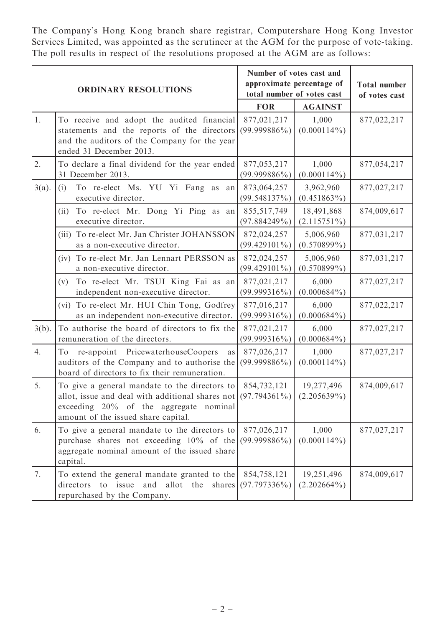The Company's Hong Kong branch share registrar, Computershare Hong Kong Investor Services Limited, was appointed as the scrutineer at the AGM for the purpose of vote-taking. The poll results in respect of the resolutions proposed at the AGM are as follows:

| <b>ORDINARY RESOLUTIONS</b> |                                                                                                                                                                                    | Number of votes cast and<br>approximate percentage of<br>total number of votes cast |                              | <b>Total number</b><br>of votes cast |
|-----------------------------|------------------------------------------------------------------------------------------------------------------------------------------------------------------------------------|-------------------------------------------------------------------------------------|------------------------------|--------------------------------------|
|                             |                                                                                                                                                                                    | <b>FOR</b>                                                                          | <b>AGAINST</b>               |                                      |
| 1.                          | To receive and adopt the audited financial<br>statements and the reports of the directors<br>and the auditors of the Company for the year<br>ended 31 December 2013.               | 877,021,217<br>$(99.999886\%)$                                                      | 1,000<br>$(0.000114\%)$      | 877,022,217                          |
| 2.                          | To declare a final dividend for the year ended<br>31 December 2013.                                                                                                                | 877,053,217<br>$(99.999886\%)$                                                      | 1,000<br>$(0.000114\%)$      | 877,054,217                          |
| $3(a)$ .                    | To re-elect Ms. YU Yi Fang as<br>(i)<br>${\rm an}$<br>executive director.                                                                                                          | 873,064,257<br>(99.548137%)                                                         | 3,962,960<br>$(0.451863\%)$  | 877,027,217                          |
|                             | To re-elect Mr. Dong Yi Ping as an<br>(ii)<br>executive director.                                                                                                                  | 855,517,749<br>(97.884249%)                                                         | 18,491,868<br>$(2.115751\%)$ | 874,009,617                          |
|                             | To re-elect Mr. Jan Christer JOHANSSON<br>(iii)<br>as a non-executive director.                                                                                                    | 872,024,257<br>$(99.429101\%)$                                                      | 5,006,960<br>$(0.570899\%)$  | 877,031,217                          |
|                             | To re-elect Mr. Jan Lennart PERSSON as<br>(iv)<br>a non-executive director.                                                                                                        | 872,024,257<br>$(99.429101\%)$                                                      | 5,006,960<br>$(0.570899\%)$  | 877,031,217                          |
|                             | To re-elect Mr. TSUI King Fai as an<br>(v)<br>independent non-executive director.                                                                                                  | 877,021,217<br>$(99.999316\%)$                                                      | 6,000<br>$(0.000684\%)$      | 877,027,217                          |
|                             | To re-elect Mr. HUI Chin Tong, Godfrey<br>(vi)<br>as an independent non-executive director.                                                                                        | 877,016,217<br>$(99.999316\%)$                                                      | 6,000<br>$(0.000684\%)$      | 877,022,217                          |
| $3(b)$ .                    | To authorise the board of directors to fix the<br>remuneration of the directors.                                                                                                   | 877,021,217<br>$(99.999316\%)$                                                      | 6,000<br>$(0.000684\%)$      | 877,027,217                          |
| 4.                          | re-appoint PricewaterhouseCoopers<br>To<br>as<br>auditors of the Company and to authorise the<br>board of directors to fix their remuneration.                                     | 877,026,217<br>$(99.999886\%)$                                                      | 1,000<br>$(0.000114\%)$      | 877,027,217                          |
| 5.                          | To give a general mandate to the directors to<br>allot, issue and deal with additional shares not<br>exceeding 20% of the aggregate nominal<br>amount of the issued share capital. | 854,732,121<br>$(97.794361\%)$                                                      | 19,277,496<br>$(2.205639\%)$ | 874,009,617                          |
| 6.                          | To give a general mandate to the directors to<br>purchase shares not exceeding 10% of the<br>aggregate nominal amount of the issued share<br>capital.                              | 877,026,217<br>$(99.999886\%)$                                                      | 1,000<br>$(0.000114\%)$      | 877,027,217                          |
| 7.                          | To extend the general mandate granted to the<br>directors<br>issue<br>and<br>allot the<br>to<br>shares<br>repurchased by the Company.                                              | 854,758,121<br>$(97.797336\%)$                                                      | 19,251,496<br>$(2.202664\%)$ | 874,009,617                          |